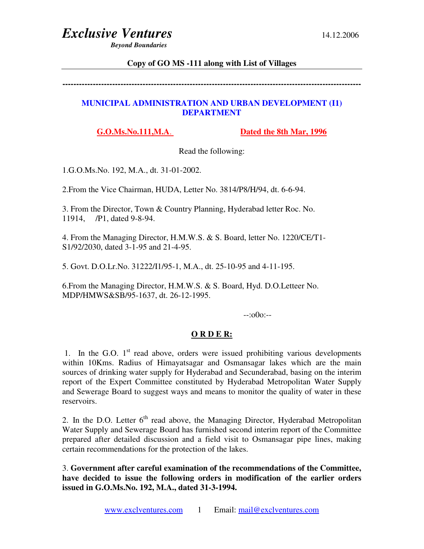*Beyond Boundaries* 

#### **Copy of GO MS -111 along with List of Villages**

**------------------------------------------------------------------------------------------------------------** 

#### **MUNICIPAL ADMINISTRATION AND URBAN DEVELOPMENT (I1) DEPARTMENT**

**G.O.Ms.No.111,M.A**. **Dated the 8th Mar, 1996**

Read the following:

1.G.O.Ms.No. 192, M.A., dt. 31-01-2002.

2.From the Vice Chairman, HUDA, Letter No. 3814/P8/H/94, dt. 6-6-94.

3. From the Director, Town & Country Planning, Hyderabad letter Roc. No. 11914, /P1, dated 9-8-94.

4. From the Managing Director, H.M.W.S. & S. Board, letter No. 1220/CE/T1- S1/92/2030, dated 3-1-95 and 21-4-95.

5. Govt. D.O.Lr.No. 31222/I1/95-1, M.A., dt. 25-10-95 and 4-11-195.

6.From the Managing Director, H.M.W.S. & S. Board, Hyd. D.O.Letteer No. MDP/HMWS&SB/95-1637, dt. 26-12-1995.

--:o0o:--

#### **O R D E R:**

1. In the G.O.  $1<sup>st</sup>$  read above, orders were issued prohibiting various developments within 10Kms. Radius of Himayatsagar and Osmansagar lakes which are the main sources of drinking water supply for Hyderabad and Secunderabad, basing on the interim report of the Expert Committee constituted by Hyderabad Metropolitan Water Supply and Sewerage Board to suggest ways and means to monitor the quality of water in these reservoirs.

2. In the D.O. Letter  $6<sup>th</sup>$  read above, the Managing Director, Hyderabad Metropolitan Water Supply and Sewerage Board has furnished second interim report of the Committee prepared after detailed discussion and a field visit to Osmansagar pipe lines, making certain recommendations for the protection of the lakes.

3. **Government after careful examination of the recommendations of the Committee, have decided to issue the following orders in modification of the earlier orders issued in G.O.Ms.No. 192, M.A., dated 31-3-1994.**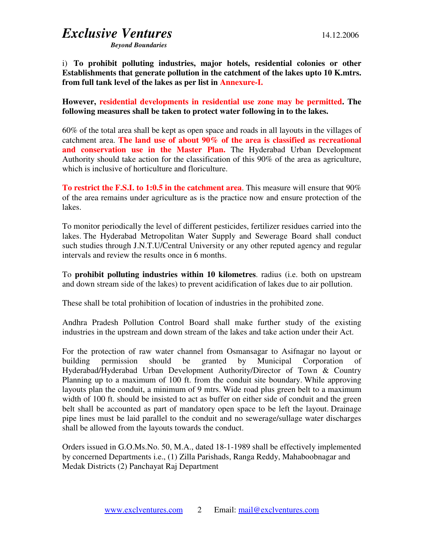*Beyond Boundaries* 

i) **To prohibit polluting industries, major hotels, residential colonies or other Establishments that generate pollution in the catchment of the lakes upto 10 K.mtrs. from full tank level of the lakes as per list in Annexure-I.**

**However, residential developments in residential use zone may be permitted. The following measures shall be taken to protect water following in to the lakes.** 

60% of the total area shall be kept as open space and roads in all layouts in the villages of catchment area. **The land use of about 90% of the area is classified as recreational**  and conservation use in the Master Plan. The Hyderabad Urban Development Authority should take action for the classification of this 90% of the area as agriculture, which is inclusive of horticulture and floriculture.

**To restrict the F.S.I. to 1:0.5 in the catchment area**. This measure will ensure that 90% of the area remains under agriculture as is the practice now and ensure protection of the lakes.

To monitor periodically the level of different pesticides, fertilizer residues carried into the lakes. The Hyderabad Metropolitan Water Supply and Sewerage Board shall conduct such studies through J.N.T.U/Central University or any other reputed agency and regular intervals and review the results once in 6 months.

To **prohibit polluting industries within 10 kilometres**. radius (i.e. both on upstream and down stream side of the lakes) to prevent acidification of lakes due to air pollution.

These shall be total prohibition of location of industries in the prohibited zone.

Andhra Pradesh Pollution Control Board shall make further study of the existing industries in the upstream and down stream of the lakes and take action under their Act.

For the protection of raw water channel from Osmansagar to Asifnagar no layout or building permission should be granted by Municipal Corporation of Hyderabad/Hyderabad Urban Development Authority/Director of Town & Country Planning up to a maximum of 100 ft. from the conduit site boundary. While approving layouts plan the conduit, a minimum of 9 mtrs. Wide road plus green belt to a maximum width of 100 ft. should be insisted to act as buffer on either side of conduit and the green belt shall be accounted as part of mandatory open space to be left the layout. Drainage pipe lines must be laid parallel to the conduit and no sewerage/sullage water discharges shall be allowed from the layouts towards the conduct.

Orders issued in G.O.Ms.No. 50, M.A., dated 18-1-1989 shall be effectively implemented by concerned Departments i.e., (1) Zilla Parishads, Ranga Reddy, Mahaboobnagar and Medak Districts (2) Panchayat Raj Department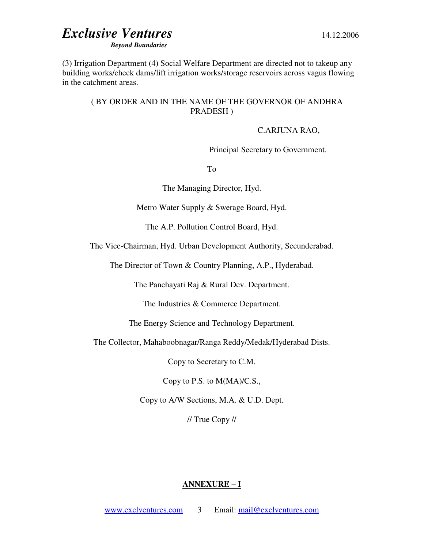*Beyond Boundaries* 

(3) Irrigation Department (4) Social Welfare Department are directed not to takeup any building works/check dams/lift irrigation works/storage reservoirs across vagus flowing in the catchment areas.

#### ( BY ORDER AND IN THE NAME OF THE GOVERNOR OF ANDHRA PRADESH )

#### C.ARJUNA RAO,

Principal Secretary to Government.

To

The Managing Director, Hyd.

Metro Water Supply & Swerage Board, Hyd.

The A.P. Pollution Control Board, Hyd.

The Vice-Chairman, Hyd. Urban Development Authority, Secunderabad.

The Director of Town & Country Planning, A.P., Hyderabad.

The Panchayati Raj & Rural Dev. Department.

The Industries & Commerce Department.

The Energy Science and Technology Department.

The Collector, Mahaboobnagar/Ranga Reddy/Medak/Hyderabad Dists.

Copy to Secretary to C.M.

Copy to P.S. to M(MA)/C.S.,

Copy to A/W Sections, M.A. & U.D. Dept.

// True Copy //

#### **ANNEXURE – I**

www.exclventures.com 3 Email: mail@exclventures.com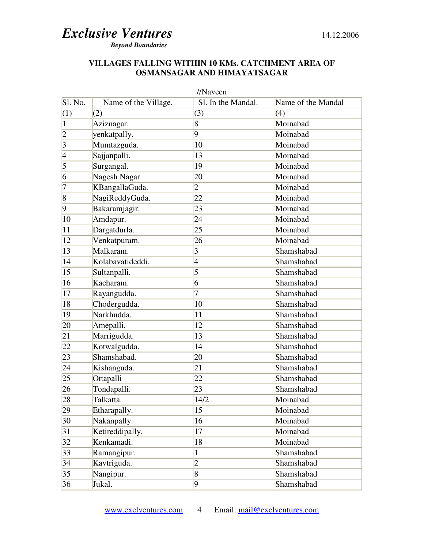*Beyond Boundaries* 

#### **VILLAGES FALLING WITHIN 10 KMs. CATCHMENT AREA OF OSMANSAGAR AND HIMAYATSAGAR**

| //Naveen        |                                  |                    |                    |  |  |  |
|-----------------|----------------------------------|--------------------|--------------------|--|--|--|
| Sl. No.         | Name of the Village.             | Sl. In the Mandal. | Name of the Mandal |  |  |  |
| (1)             | (2)                              | (3)                | (4)                |  |  |  |
| $\vert$ 1       | Aziznagar.                       | 8                  | Moinabad           |  |  |  |
| $ 2\rangle$     | yenkatpally.                     | 9                  | Moinabad           |  |  |  |
| $\vert 3 \vert$ | Mumtazguda.                      | 10                 | Moinabad           |  |  |  |
| $\vert 4 \vert$ | Sajjanpalli.                     | 13                 | Moinabad           |  |  |  |
| $\overline{5}$  | Surgangal.                       | 19                 | Moinabad           |  |  |  |
| 6               | Nagesh Nagar.                    | 20                 | Moinabad           |  |  |  |
| 7               | KBangallaGuda.                   | $\overline{2}$     | Moinabad           |  |  |  |
| $\sqrt{8}$      | NagiReddyGuda.                   | 22                 | Moinabad           |  |  |  |
| $\overline{9}$  | Bakaramjagir.                    | 23                 | Moinabad           |  |  |  |
| 10              | Amdapur.                         | 24                 | Moinabad           |  |  |  |
| 11              | Dargatdurla.                     | 25                 | Moinabad           |  |  |  |
| 12              | Venkatpuram.                     | 26                 | Moinabad           |  |  |  |
| 13              | $\overline{\mathrm{Malkaram}}$ . | 3                  | Shamshabad         |  |  |  |
| 14              | Kolabavatideddi.                 | $\overline{4}$     | Shamshabad         |  |  |  |
| 15              | Sultanpalli.                     | 5                  | Shamshabad         |  |  |  |
| 16              | Kacharam.                        | 6                  | Shamshabad         |  |  |  |
| 17              | Rayangudda.                      | 7                  | Shamshabad         |  |  |  |
| 18              | Chodergudda.                     | 10                 | Shamshabad         |  |  |  |
| 19              | Narkhudda.                       | 11                 | Shamshabad         |  |  |  |
| 20              | Amepalli.                        | 12                 | Shamshabad         |  |  |  |
| 21              | Marrigudda.                      | 13                 | Shamshabad         |  |  |  |
| 22              | Kotwalgudda.                     | 14                 | Shamshabad         |  |  |  |
| 23              | Shamshabad.                      | 20                 | Shamshabad         |  |  |  |
| 24              | Kishanguda.                      | 21                 | Shamshabad         |  |  |  |
| 25              | Ottapalli                        | 22                 | Shamshabad         |  |  |  |
| $\overline{26}$ | Tondapalli.                      | 23                 | Shamshabad         |  |  |  |
| 28              | Talkatta.                        | 14/2               | Moinabad           |  |  |  |
| 29              | Etharapally.                     | 15                 | Moinabad           |  |  |  |
| 30              | Nakanpally.                      | 16                 | Moinabad           |  |  |  |
| 31              | Ketireddipally.                  | 17                 | Moinabad           |  |  |  |
| 32              | Kenkamadi.                       | 18                 | Moinabad           |  |  |  |
| 33              | Ramangipur.                      | 1                  | Shamshabad         |  |  |  |
| 34              | Kavtriguda.                      | $\overline{2}$     | Shamshabad         |  |  |  |
| 35              | Nangipur.                        | $\overline{8}$     | Shamshabad         |  |  |  |
| 36              | Jukal.                           | $ 9\rangle$        | Shamshabad         |  |  |  |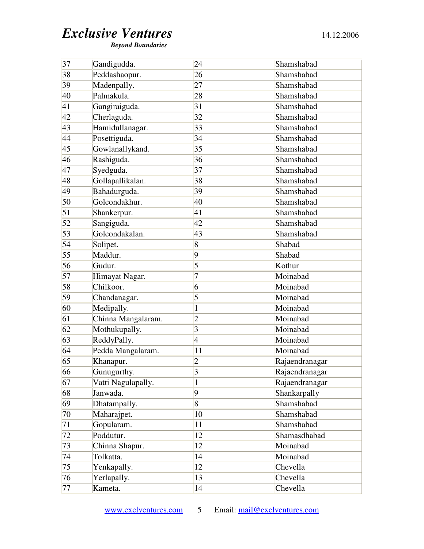*Beyond Boundaries* 

| 37              | Gandigudda.        | 24             | Shamshabad     |
|-----------------|--------------------|----------------|----------------|
| 38              | Peddashaopur.      | 26             | Shamshabad     |
| 39              | Madenpally.        | 27             | Shamshabad     |
| 40              | Palmakula.         | 28             | Shamshabad     |
| 41              | Gangiraiguda.      | 31             | Shamshabad     |
| 42              | Cherlaguda.        | 32             | Shamshabad     |
| 43              | Hamidullanagar.    | 33             | Shamshabad     |
| 44              | Posettiguda.       | 34             | Shamshabad     |
| 45              | Gowlanallykand.    | 35             | Shamshabad     |
| 46              | Rashiguda.         | 36             | Shamshabad     |
| 47              | Syedguda.          | 37             | Shamshabad     |
| 48              | Gollapallikalan.   | 38             | Shamshabad     |
| 49              | Bahadurguda.       | 39             | Shamshabad     |
| 50              | Golcondakhur.      | 40             | Shamshabad     |
| 51              | Shankerpur.        | 41             | Shamshabad     |
| $\overline{52}$ | Sangiguda.         | 42             | Shamshabad     |
| 53              | Golcondakalan.     | 43             | Shamshabad     |
| 54              | Solipet.           | 8              | Shabad         |
| 55              | Maddur.            | 9              | Shabad         |
| 56              | Gudur.             | 5              | Kothur         |
| 57              | Himayat Nagar.     | 7              | Moinabad       |
| 58              | Chilkoor.          | 6              | Moinabad       |
| 59              | Chandanagar.       | 5              | Moinabad       |
| 60              | Medipally.         | 1              | Moinabad       |
| 61              | Chinna Mangalaram. | $\overline{c}$ | Moinabad       |
| 62              | Mothukupally.      | 3              | Moinabad       |
| 63              | ReddyPally.        | $\overline{4}$ | Moinabad       |
| 64              | Pedda Mangalaram.  | 11             | Moinabad       |
| 65              | Khanapur.          | $\overline{2}$ | Rajaendranagar |
| 66              | Gunugurthy.        | 3              | Rajaendranagar |
| 67              | Vatti Nagulapally. | 1              | Rajaendranagar |
| 68              | Janwada.           | 9              | Shankarpally   |
| 69              | Dhatampally.       | 8              | Shamshabad     |
| 70              | Maharajpet.        | 10             | Shamshabad     |
| 71              | Gopularam.         | 11             | Shamshabad     |
| 72              | Poddutur.          | 12             | Shamasdhabad   |
| 73              | Chinna Shapur.     | 12             | Moinabad       |
| 74              | Tolkatta.          | 14             | Moinabad       |
| 75              | Yenkapally.        | 12             | Chevella       |
| 76              | Yerlapally.        | 13             | Chevella       |
| 77              | Kameta.            | 14             | Chevella       |